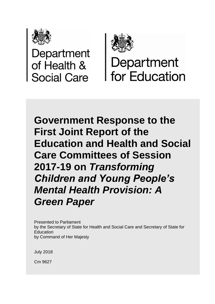

Department<br>of Health & **Social Care** 



Department **I** for Education

**Government Response to the First Joint Report of the Education and Health and Social Care Committees of Session 2017-19 on** *Transforming Children and Young People's Mental Health Provision: A Green Paper*

Presented to Parliament by the Secretary of State for Health and Social Care and Secretary of State for Education by Command of Her Majesty

July 2018

Cm 9627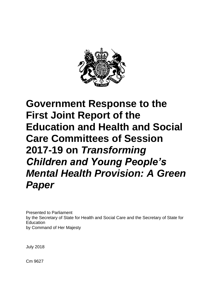

# **Government Response to the First Joint Report of the Education and Health and Social Care Committees of Session 2017-19 on** *Transforming Children and Young People's Mental Health Provision: A Green Paper*

Presented to Parliament by the Secretary of State for Health and Social Care and the Secretary of State for Education by Command of Her Majesty

July 2018

Cm 9627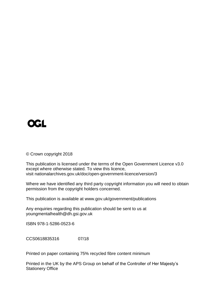

© Crown copyright 2018

This publication is licensed under the terms of the Open Government Licence v3.0 except where otherwise stated. To view this licence, visit nationalarchives.gov.uk/doc/open-government-licence/version/3

Where we have identified any third party copyright information you will need to obtain permission from the copyright holders concerned.

This publication is available at www.gov.uk/government/publications

Any enquiries regarding this publication should be sent to us at youngmentalhealth@dh.gsi.gov.uk

ISBN 978-1-5286-0523-6

CCS0618835316 07/18

Printed on paper containing 75% recycled fibre content minimum

Printed in the UK by the APS Group on behalf of the Controller of Her Majesty's Stationery Office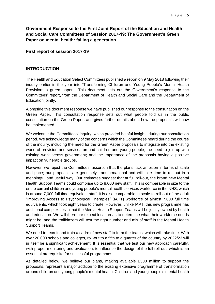# **Government Response to the First Joint Report of the Education and Health and Social Care Committees of Session 2017-19: The Government's Green Paper on mental health: failing a generation**

**First report of session 2017-19**

## **INTRODUCTION**

The Health and Education Select Committees published a report on 9 May 2018 following their inquiry earlier in the year into 'Transforming Children and Young People's Mental Health Provision: a green paper'.<sup>1</sup> This document sets out the Government's response to the Committees' report, from the Department of Health and Social Care and the Department of Education jointly.

Alongside this document response we have published our response to the consultation on the Green Paper. This consultation response sets out what people told us in the public consultation on the Green Paper, and gives further details about how the proposals will now be implemented.

We welcome the Committees' inquiry, which provided helpful insights during our consultation period. We acknowledge many of the concerns which the Committees heard during the course of the inquiry, including the need for the Green Paper proposals to integrate into the existing world of provision and services around children and young people; the need to join up with existing work across government; and the importance of the proposals having a positive impact on vulnerable groups.

However, we reject the Committees' assertion that the plans lack ambition in terms of scale and pace; our proposals are genuinely transformational and will take time to roll-out in a meaningful and useful way. Our estimates suggest that at full roll-out, the brand new Mental Health Support Teams could comprise up to 8,000 new staff. This is comparable in size to the entire current children and young people's mental health services workforce in the NHS, which is around 7,000 full time equivalent staff. It is also comparable in scale to roll-out of the adult "Improving Access to Psychological Therapies" (IAPT) workforce of almost 7,000 full time equivalents, which took eight years to create. However, unlike IAPT, this new programme has additional complexities in that the Mental Health Support Teams will be jointly owned by health and education. We will therefore expect local areas to determine what their workforce needs might be, and the trailblazers will test the right number and mix of staff in the Mental Health Support Teams.

We need to recruit and train a cadre of new staff to form the teams, which will take time. With over 20,000 schools and colleges, roll-out to a fifth to a quarter of the country by 2022/23 will in itself be a significant achievement. It is essential that we test our new approach carefully, with proper monitoring and evaluation, to influence the design of the full roll-out, which is an essential prerequisite for successful programmes.

As detailed below, we believe our plans, making available £300 million to support the proposals, represent a major addition to the existing extensive programme of transformation around children and young people's mental health. Children and young people's mental health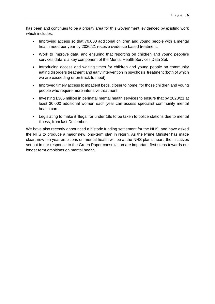has been and continues to be a priority area for this Government, evidenced by existing work which includes:

- Improving access so that 70,000 additional children and young people with a mental health need per year by 2020/21 receive evidence based treatment.
- Work to improve data, and ensuring that reporting on children and young people's services data is a key component of the Mental Health Services Data Set.
- Introducing access and waiting times for children and young people on community eating disorders treatment and early intervention in psychosis treatment (both of which we are exceeding or on track to meet).
- Improved timely access to inpatient beds, closer to home, for those children and young people who require more intensive treatment.
- Investing £365 million in perinatal mental health services to ensure that by 2020/21 at least 30,000 additional women each year can access specialist community mental health care.
- Legislating to make it illegal for under 18s to be taken to police stations due to mental illness, from last December.

We have also recently announced a historic funding settlement for the NHS, and have asked the NHS to produce a major new long-term plan in return. As the Prime Minister has made clear, new ten year ambitions on mental health will be at the NHS plan's heart; the initiatives set out in our response to the Green Paper consultation are important first steps towards our longer term ambitions on mental health.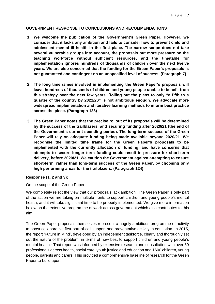#### **GOVERNMENT RESPONSE TO CONCLUSIONS AND RECOMMENDATIONS**

- **1. We welcome the publication of the Government's Green Paper. However, we consider that it lacks any ambition and fails to consider how to prevent child and adolescent mental ill health in the first place. The narrow scope does not take several vulnerable groups into account, the proposals put more pressure on the teaching workforce without sufficient resources, and the timetable for implementation ignores hundreds of thousands of children over the next twelve years. We are also concerned that the funding for the Green Paper's proposals is not guaranteed and contingent on an unspecified level of success. (Paragraph 7)**
- **2. The long timeframes involved in implementing the Green Paper's proposals will leave hundreds of thousands of children and young people unable to benefit from this strategy over the next few years. Rolling out the plans to only "a fifth to a quarter of the country by 2022/23" is not ambitious enough. We advocate more widespread implementation and iterative learning methods to inform best practice across the piece. (Paragraph 123)**
- **3. The Green Paper notes that the precise rollout of its proposals will be determined by the success of the trailblazers, and securing funding after 2020/21 (the end of the Government's current spending period). The long-term success of the Green Paper will rely on adequate funding being made available beyond 2020/21. We recognise the limited time frame for the Green Paper's proposals to be implemented with the currently allocation of funding, and have concerns that attempts to secure longer term funding could result in pressure for short-term delivery, before 2020/21. We caution the Government against attempting to ensure short-term, rather than long-term success of the Green Paper, by choosing only high performing areas for the trailblazers. (Paragraph 124)**

#### **Response (1, 2 and 3):**

#### On the scope of the Green Paper

We completely reject the view that our proposals lack ambition. The Green Paper is only part of the action we are taking on multiple fronts to support children and young people's mental health, and it will take significant time to be properly implemented. We give more information below on the extensive programme of work across government which also contributes to this aim.

The Green Paper proposals themselves represent a hugely ambitious programme of activity to boost collaborative first-port-of-call support and preventative activity in education. In 2015, the report 'Future in Mind', developed by an independent taskforce, clearly and thoroughly set out the nature of the problem, in terms of how best to support children and young people's mental health.<sup>2</sup> That report was informed by extensive research and consultation with over 60 professionals across health, social care, youth justice and education and 1600 children, young people, parents and carers. This provided a comprehensive baseline of research for the Green Paper to build upon.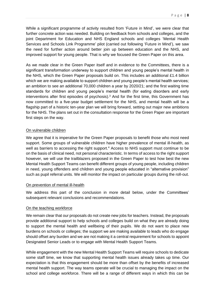While a significant programme of activity resulted from 'Future in Mind', we were clear that further concrete action was needed. Building on feedback from schools and colleges, and the joint Department for Education and NHS England schools and colleges 'Mental Health Services and Schools Link Programme' pilot (carried out following 'Future in Mind'), we saw the need for further action around better join up between education and the NHS, and improved support for young people. That is why we focused the Green Paper on this area.

As we made clear in the Green Paper itself and in evidence to the Committees, there is a significant transformation underway to support children and young people's mental health in the NHS, which the Green Paper proposals build on. This includes an additional £1.4 billion which we are making available to support children and young people's mental health services; an ambition to see an additional 70,000 children a year by 2020/21; and the first waiting time standards for children and young people's mental health (for eating disorders and early interventions after first episodes of psychosis).<sup>3</sup> And for the first time, this Government has now committed to a five-year budget settlement for the NHS, and mental health will be a flagship part of a historic ten-year plan we will bring forward, setting out major new ambitions for the NHS. The plans set out in the consultation response for the Green Paper are important first steps on the way.

#### On vulnerable children

We agree that it is imperative for the Green Paper proposals to benefit those who most need support. Some groups of vulnerable children have higher prevalence of mental ill-health, as well as barriers to accessing the right support.<sup>4</sup> Access to NHS support must continue to be on the basis of clinical need, not personal characteristic. In terms of access to the right support however, we will use the trailblazers proposed in the Green Paper to test how best the new Mental Health Support Teams can benefit different groups of young people, including children in need, young offenders and children and young people educated in "alternative provision" such as pupil referral units. We will monitor the impact on particular groups during the roll-out.

#### On prevention of mental ill-health

We address this part of the conclusion in more detail below, under the Committees' subsequent relevant conclusions and recommendations.

#### On the teaching workforce

We remain clear that our proposals do not create new jobs for teachers. Instead, the proposals provide additional support to help schools and colleges build on what they are already doing to support the mental health and wellbeing of their pupils. We do not want to place new burdens on schools or colleges; the support we are making available to leads who do engage should offset any burden and we are not making it a central requirement for schools to appoint Designated Senior Leads or to engage with Mental Health Support Teams.

While engagement with the new Mental Health Support Teams will require schools to dedicate some staff time, we know that supporting mental health issues already takes up time. Our expectation is that this engagement should be more than offset by the benefits of increased mental health support. The way teams operate will be crucial to managing the impact on the school and college workforce. There will be a range of different ways in which this can be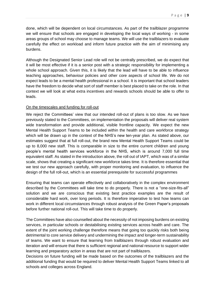done, which will be dependent on local circumstances. As part of the trailblazer programme we will ensure that schools are engaged in developing the local ways of working - in some areas groups of school may choose to manage teams. We will use the trailblazers to evaluate carefully the effect on workload and inform future practice with the aim of minimising any burdens.

Although the Designated Senior Lead role will not be centrally prescribed, we do expect that it will be most effective if it is a senior post with a strategic responsibility for implementing a whole school approach. Given this, it is likely that the lead will have to be able to influence teaching approaches, behaviour policies and other core aspects of school life. We do not expect leads to be a mental health professional in a school. It is important that school leaders have the freedom to decide what sort of staff member is best placed to take on the role. In that context we will look at what extra incentives and rewards schools should be able to offer to leads.

#### On the timescales and funding for roll-out

We reject the Committees' view that our intended roll-out of plans is too slow. As we have previously stated to the Committees, on implementation the proposals will deliver real system wide transformation and provide additional, visible frontline capacity. We expect the new Mental Health Support Teams to be included within the health and care workforce strategy which will be drawn up in the context of the NHS's new ten-year plan. As stated above, our estimates suggest that at full roll-out, the brand new Mental Health Support Teams could be up to 8,000 new staff. This is comparable in size to the entire current children and young people's mental health services workforce in the NHS, which is around 7,000 full time equivalent staff. As stated in the introduction above, the roll out of IAPT, which was of a similar scale, shows that creating a significant new workforce takes time. It is therefore essential that we test our new approach carefully, with proper monitoring and evaluation, to influence the design of the full roll-out, which is an essential prerequisite for successful programmes

Ensuring that teams can operate effectively and collaboratively in the complex environment described by the Committees will take time to do properly. There is not a "one-size-fits-all" solution and we are conscious that existing best practice examples are the result of considerable hard work, over long periods. It is therefore imperative to test how teams can work in different local circumstances through robust analysis of the Green Paper's proposals before further national roll-out. This will take time to do properly.

The Committees have also counselled about the necessity of not imposing burdens on existing services, in particular schools or destabilising existing services across health and care. The extent of the joint working challenge therefore means that going too quickly risks both being detrimental to core service delivery and undermining the impact and longer-term sustainability of teams. We want to ensure that learning from trailblazers through robust evaluation and iteration and will ensure that there is sufficient regional and national resource to support wider learning and preparatory action in areas that are not part of trailblazers.

Decisions on future funding will be made based on the outcomes of the trailblazers and the additional funding that would be required to deliver Mental Health Support Teams linked to all schools and colleges across England.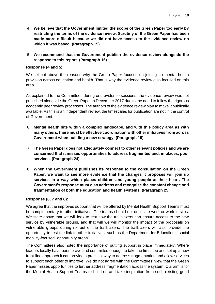- **4. We believe that the Government limited the scope of the Green Paper too early by restricting the terms of the evidence review. Scrutiny of the Green Paper has been**
- **made more difficult because we did not have access to the evidence review on which it was based. (Paragraph 15)**
- **5. We recommend that the Government publish the evidence review alongside the response to this report. (Paragraph 16)**

# **Response (4 and 5):**

We set out above the reasons why the Green Paper focused on joining up mental health provision across education and health. That is why the evidence review also focused on this area.

As explained to the Committees during oral evidence sessions, the evidence review was not published alongside the Green Paper in December 2017 due to the need to follow the rigorous academic peer review processes. The authors of the evidence review plan to make it publically available. As this is an independent review, the timescales for publication are not in the control of Government.

- **6. Mental health sits within a complex landscape, and with this policy area as with many others, there must be effective coordination with other initiatives from across Government when building a new strategy. (Paragraph 19)**
- **7. The Green Paper does not adequately connect to other relevant policies and we are concerned that it misses opportunities to address fragmented and, in places, poor services. (Paragraph 24)**
- **8. When the Government publishes its response to the consultation on the Green Paper, we want to see more evidence that the changes it proposes will join up services in a way which places children and young people at their heart. The Government's response must also address and recognise the constant change and fragmentation of both the education and health systems. (Paragraph 25)**

# **Response (6, 7 and 8):**

We agree that the improved support that will be offered by Mental Health Support Teams must be complementary to other initiatives. The teams should not duplicate work or work in silos. We state above that we will look to test how the trailblazers can ensure access to the new service by vulnerable groups, and that will we will monitor the impact of the proposals on vulnerable groups during roll-out of the trailblazers. The trailblazers will also provide the opportunity to test the link to other initiatives, such as the Department for Education's social mobility-focused "opportunity areas".

The Committees also noted the importance of putting support in place immediately. Where leaders locally have been brave and committed enough to take the first step and set up a new front-line approach it can provide a practical way to address fragmentation and allow services to support each other to improve. We do not agree with the Committees' view that the Green Paper misses opportunities to further address fragmentation across the system. Our aim is for the Mental Health Support Teams to build on and take inspiration from such existing good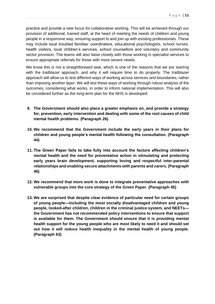practice and provide a new focus for collaborative working. This will be achieved through our provision of additional, trained staff, at the heart of meeting the needs of children and young people in a responsive way, ensuring support to and join up with existing professionals. These may include local troubled families' coordinators, educational psychologists, school nurses, health visitors, local children's services, school counsellors and voluntary and community sector provision. The teams will also liaise closely with those working in specialist services to ensure appropriate referrals for those with more severe needs.

We know this is not a straightforward task, which is one of the reasons that we are starting with the trailblazer approach, and why it will require time to do properly. The trailblazer approach will allow us to test different ways of working across services and boundaries, rather than imposing another layer. We will test these ways of working through robust analysis of the outcomes, considering what works, in order to inform national implementation. This will also be considered further as the long-term plan for the NHS is developed.

- **9. The Government should also place a greater emphasis on, and provide a strategy for, prevention, early intervention and dealing with some of the root causes of child mental health problems. (Paragraph 26)**
- **10. We recommend that the Government include the early years in their plans for children and young people's mental health following the consultation. (Paragraph 44)**
- **11. The Green Paper fails to take fully into account the factors affecting children's mental health and the need for preventative action in stimulating and protecting early years brain development, supporting loving and respectful inter-parental relationships and enabling secure attachments with parents and carers. (Paragraph 46)**
- **12. We recommend that more work is done to integrate preventative approaches with vulnerable groups into the core strategy of the Green Paper. (Paragraph 45)**
- **13. We are surprised that despite clear evidence of particular need for certain groups of young people—including the most socially disadvantaged children and young people, looked-after children, children in the criminal justice system, and NEETs the Government has not recommended policy interventions to ensure that support is available for them. The Government should ensure that it is providing mental health support for the young people who are most likely to need it and should set out how it will reduce health inequality in the mental health of young people. (Paragraph 63)**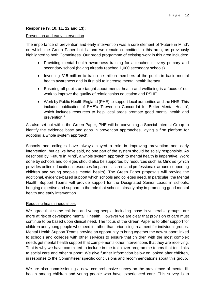#### **Response (9, 10, 11, 12 and 13):**

#### Prevention and early intervention

The importance of prevention and early intervention was a core element of 'Future in Mind', on which the Green Paper builds, and we remain committed to this area, as previously highlighted to both Committees. Our broad programme of existing work in this area includes:

- Providing mental health awareness training for a teacher in every primary and secondary school (having already reached 1,000 secondary schools)
- Investing £15 million to train one million members of the public in basic mental health awareness and in first aid to increase mental health literacy
- Ensuring all pupils are taught about mental health and wellbeing is a focus of our work to improve the quality of relationships education and PSHE.
- Work by Public Health England (PHE) to support local authorities and the NHS. This includes publication of PHE's 'Prevention Concordat for Better Mental Health', which includes resources to help local areas promote good mental health and prevention.<sup>5</sup>

As also set out within the Green Paper, PHE will be convening a Special Interest Group to identify the evidence base and gaps in prevention approaches, laying a firm platform for adopting a whole system approach.

Schools and colleges have always played a role in improving prevention and early intervention, but as we have said, no one part of the system should be solely responsible. As described by 'Future in Mind', a whole system approach to mental health is imperative. Work done by schools and colleges should also be supported by resources such as MindEd (which provides online educational resources for parents, carers and professionals around supporting children and young people's mental health). The Green Paper proposals will provide the additional, evidence-based support which schools and colleges need. In particular, the Mental Health Support Teams will provide support for the Designated Senior Leads in schools, bringing expertise and support to the role that schools already play in promoting good mental health and early intervention.

#### Reducing health inequalities

We agree that some children and young people, including those in vulnerable groups, are more at risk of developing mental ill health. However we are clear that provision of care must continue to be based upon clinical need. The focus of the Green Paper is to offer support for children and young people who need it, rather than prioritising treatment for individual groups. Mental Health Support Teams provide an opportunity to bring together the new support linked to schools and colleges with other services to ensure that children with the most complex needs get mental health support that complements other interventions that they are receiving. That is why we have committed to include in the trailblazer programme teams that test links to social care and other support. We give further information below on looked after children, in response to the Committees' specific conclusions and recommendations about this group.

We are also commissioning a new, comprehensive survey on the prevalence of mental illhealth among children and young people who have experienced care. This survey is to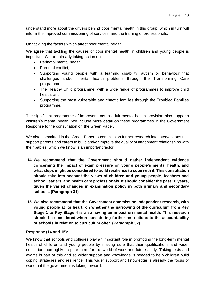understand more about the drivers behind poor mental health in this group, which in turn will inform the improved commissioning of services, and the training of professionals.

#### On tackling the factors which affect poor mental health

We agree that tackling the causes of poor mental health in children and young people is important. We are already taking action on:

- Perinatal mental health;
- Parental conflict:
- Supporting young people with a learning disability, autism or behaviour that challenges and/or mental health problems through the Transforming Care programme;
- The Healthy Child programme, with a wide range of programmes to improve child health; and
- Supporting the most vulnerable and chaotic families through the Troubled Families programme.

The significant programme of improvements to adult mental health provision also supports children's mental health. We include more detail on these programmes in the Government Response to the consultation on the Green Paper.

We also committed in the Green Paper to commission further research into interventions that support parents and carers to build and/or improve the quality of attachment relationships with their babies, which we know is an important factor.

- **14. We recommend that the Government should gather independent evidence concerning the impact of exam pressure on young people's mental health, and what steps might be considered to build resilience to cope with it. This consultation should take into account the views of children and young people, teachers and school leaders, and health care professionals. It should consider the past 10 years, given the varied changes in examination policy in both primary and secondary schools. (Paragraph 31)**
- **15. We also recommend that the Government commission independent research, with young people at its heart, on whether the narrowing of the curriculum from Key Stage 1 to Key Stage 4 is also having an impact on mental health. This research should be considered when considering further restrictions to the accountability of schools in relation to curriculum offer. (Paragraph 32)**

#### **Response (14 and 15):**

We know that schools and colleges play an important role in promoting the long-term mental health of children and young people by making sure that their qualifications and wider education thoroughly prepare them for the world of work and future study. Taking tests and exams is part of this and so wider support and knowledge is needed to help children build coping strategies and resilience. This wider support and knowledge is already the focus of work that the government is taking forward.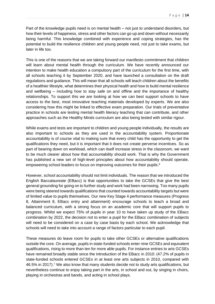Part of the knowledge pupils need is on mental health – not just to understand disorders, but how their levels of happiness, stress and other factors can go up and down without necessarily being harmful. This knowledge combined with experience and coping strategies, has the potential to build the resilience children and young people need, not just to take exams, but later in life too.

This is one of the reasons that we are taking forward our manifesto commitment that children will learn about mental health through the curriculum. We have recently announced our intention to make health education a compulsory part of the curriculum for the first time, with all schools teaching it by September 2020, and have launched a consultation on the draft regulations and guidance. This will mean that all schools will teach children about the benefits of a healthier lifestyle, what determines their physical health and how to build mental resilience and wellbeing – including how to stay safe on and offline and the importance of healthy relationships. To support this we are looking at how we can best support schools to have access to the best, most innovative teaching materials developed by experts. We are also considering how this might be linked to effective exam preparation. Our trials of preventative practice in schools are testing mental health literacy teaching that can contribute, and other approaches such as the Healthy Minds curriculum are also being tested with similar rigour.

While exams and tests are important to children and young people individually, the results are also important to schools as they are used in the accountability system. Proportionate accountability is of course vital to making sure that every child has the opportunity to get the qualifications they need, but it is important that it does not create perverse incentives. So as part of bearing down on workload, which can itself increase stress in the classroom, we want to be much clearer about how that accountability should work. That is why the Government has published a new set of high-level principles about how accountability should operate, empowering school leaders to focus on improving outcomes for their pupils.<sup>6</sup>

However, school accountability should not limit individuals. The reason that we introduced the English Baccalaureate (EBacc) is that opportunities to take the GCSEs that give the best general grounding for going on to further study and work had been narrowing. Too many pupils were being steered towards qualifications that counted towards accountability targets but were of limited value to pupils themselves. Our new Key Stage 4 performance measures (Progress 8, Attainment 8, EBacc entry and attainment) encourage schools to teach a broad and balanced curriculum, with a strong focus on an academic core that will support pupils to progress. Whilst we expect 75% of pupils in year 10 to have taken up study of the EBacc combination by 2022, the decision not to enter a pupil for the EBacc combination of subjects will need to be considered on a case by case basis by each school. We acknowledge that schools will need to take into account a range of factors particular to each pupil.

These measures do leave room for pupils to take other GCSEs or alternative qualifications outside the core. On average, pupils in state-funded schools enter nine GCSEs and equivalent qualifications, rising to more than ten for more able pupils. For instance entries to arts GCSEs have remained broadly stable since the introduction of the EBacc in 2010: (47.2% of pupils in state-funded schools entered GCSEs in at least one arts subjects in 2010, compared with 46.5% in 2017).<sup>7</sup> We also know that many students decide not to study arts qualifications, but nevertheless continue to enjoy taking part in the arts, in school and out, by singing in choirs, playing in orchestras and bands, and acting in school plays.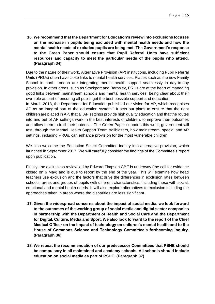**16. We recommend that the Department for Education's review into exclusions focuses on the increase in pupils being excluded with mental health needs and how the mental health needs of excluded pupils are being met. The Government's response to the Green Paper should ensure that Pupil Referral Units have sufficient resources and capacity to meet the particular needs of the pupils who attend. (Paragraph 34)** 

Due to the nature of their work, Alternative Provision (AP) institutions, including Pupil Referral Units (PRUs) often have close links to mental health services. Places such as the new Family School in north London are integrating mental health support seamlessly in day-to-day provision. In other areas, such as Stockport and Barnsley, PRUs are at the heart of managing good links between mainstream schools and mental health services, being clear about their own role as part of ensuring all pupils get the best possible support and education.

In March 2018, the Department for Education published our vision for AP, which recognises AP as an integral part of the education system.<sup>8</sup> It sets out plans to ensure that the right children are placed in AP, that all AP settings provide high quality education and that the routes into and out of AP settings work in the best interests of children, to improve their outcomes and allow them to fulfil their potential. The Green Paper supports this work; government will test, through the Mental Health Support Team trailblazers, how mainstream, special and AP settings, including PRUs, can enhance provision for the most vulnerable children.

We also welcome the Education Select Committee inquiry into alternative provision, which launched in September 2017. We will carefully consider the findings of the Committee's report upon publication.

Finally, the exclusions review led by Edward Timpson CBE is underway (the call for evidence closed on 6 May) and is due to report by the end of the year. This will examine how head teachers use exclusion and the factors that drive the differences in exclusion rates between schools, areas and groups of pupils with different characteristics, including those with social, emotional and mental health needs. It will also explore alternatives to exclusion including the approaches taken in areas where the disparities are less significant.

- **17. Given the widespread concerns about the impact of social media, we look forward to the outcomes of the working group of social media and digital sector companies in partnership with the Department of Health and Social Care and the Department for Digital, Culture, Media and Sport. We also look forward to the report of the Chief Medical Officer on the impact of technology on children's mental health and to the House of Commons Science and Technology Committee's forthcoming inquiry. (Paragraph 36)**
- **18. We repeat the recommendation of our predecessor Committees that PSHE should be compulsory in all maintained and academy schools. All schools should include education on social media as part of PSHE. (Paragraph 37)**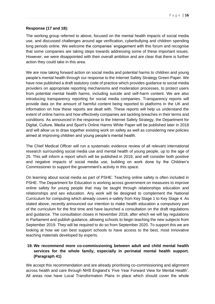#### **Response (17 and 18):**

The working group referred to above, focused on the mental health impacts of social media use, and discussed challenges around age verification, cyberbullying and children spending long periods online. We welcome the companies' engagement with this forum and recognise that some companies are taking steps towards addressing some of these important issues. However, we were disappointed with their overall ambition and are clear that there is further action they could take in this area.

We are now taking forward action on social media and potential harms to children and young people's mental health through our response to the Internet Safety Strategy Green Paper. We have now published a draft statutory code of practice which provides guidance to social media providers on appropriate reporting mechanisms and moderation processes, to protect users from potential mental health harms, including suicide and self-harm content. We are also introducing transparency reporting for social media companies. Transparency reports will provide data on the amount of harmful content being reported to platforms in the UK and information on how these reports are dealt with. These reports will help us understand the extent of online harms and how effectively companies are tackling breaches in their terms and conditions. As announced in the response to the Internet Safety Strategy, the Department for Digital, Culture, Media and Sport's Online Harms White Paper will be published later in 2018 and will allow us to draw together existing work on safety as well as considering new policies aimed at improving children and young people's mental health.

The Chief Medical Officer will run a systematic evidence review of all relevant international research surrounding social media use and mental health of young people, up to the age of 25. This will inform a report which will be published in 2019, and will consider both positive and negative impacts of social media use, building on work done by the Children's Commissioner to support the government's activity in this space.

On learning about social media as part of PSHE: Teaching online safety is often included in PSHE. The Department for Education is working across government on measures to improve online safety for young people that may be taught through relationships education and relationships and sex education. Any work will be designed to complement the National Curriculum for computing which already covers e-safety from Key Stage 1 to Key Stage 4. As stated above, recently announced our intention to make health education a compulsory part of the curriculum for the first time and have launched a consultation on the draft regulations and guidance. The consultation closes in November 2018, after which we will lay regulations in Parliament and publish guidance, allowing schools to begin teaching the new subjects from September 2019. They will be required to do so from September 2020. To support this we are looking at how we can best support schools to have access to the best, most innovative teaching materials developed by experts.

## **19. We recommend more co-commissioning between adult and child mental health services for the whole family, especially in perinatal mental health support. (Paragraph 41)**

We accept this recommendation and are already prioritising co-commissioning and alignment across health and care through NHS England's 'Five Year Forward View for Mental Health'. All areas now have Local Transformation Plans in place which should cover the whole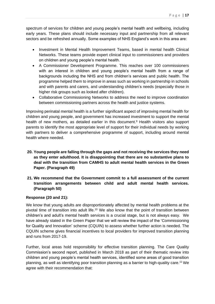spectrum of services for children and young people's mental health and wellbeing, including early years. These plans should include necessary input and partnership from all relevant sectors and be refreshed annually. Some examples of NHS England's work in this area are:

- Investment in Mental Health Improvement Teams, based in mental health Clinical Networks. These teams provide expert clinical input to commissioners and providers on children and young people's mental health.
- A Commissioner Development Programme. This reaches over 100 commissioners with an interest in children and young people's mental health from a range of backgrounds including the NHS and from children's services and public health. The programme helped them to improve in areas such as working in partnership in schools and with parents and carers, and understanding children's needs (especially those in higher risk groups such as looked after children).
- Collaborative Commissioning Networks to address the need to improve coordination between commissioning partners across the health and justice systems.

Improving perinatal mental health is a further significant aspect of improving mental health for children and young people, and government has increased investment to support the mental health of new mothers, as detailed earlier in this document.<sup>9</sup> Health visitors also support parents to identify the most appropriate level of support for their individual needs by working with partners to deliver a comprehensive programme of support, including around mental health where needed.

- **20. Young people are falling through the gaps and not receiving the services they need as they enter adulthood. It is disappointing that there are no substantive plans to deal with the transition from CAMHS to adult mental health services in the Green Paper. (Paragraph 49)**
- **21. We recommend that the Government commit to a full assessment of the current transition arrangements between child and adult mental health services. (Paragraph 50)**

#### **Response (20 and 21):**

We know that young adults are disproportionately affected by mental health problems at the pivotal time of transition into adult life.<sup>10</sup> We also know that the point of transition between children's and adult's mental health services is a crucial stage, but is not always easy. We have already stated in the Green Paper that we will review the impact of the 'Commissioning for Quality and Innovation' scheme (CQUIN) to assess whether further action is needed. The CQUIN scheme gives financial incentives to local providers for improved transition planning and runs from 2017-19.

Further, local areas hold responsibility for effective transition planning. The Care Quality Commission's second report, published in March 2018 as part of their thematic review into children and young people's mental health services, identified some areas of good transition planning, as well as identifying poor transition planning as a barrier to high-quality care.<sup>11</sup> We agree with their recommendation that: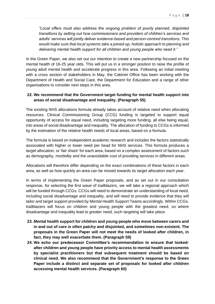*"Local offers must also address the ongoing problem of poorly planned, disjointed transitions by setting out how commissioners and providers of children's services and adults' services will jointly deliver evidence-based and person-centred transitions. This would make sure that local systems take a joined-up, holistic approach to planning and delivering mental health support for all children and young people who need it."*

In the Green Paper, we also set out our intention to create a new partnership focused on the mental health of 16-25 year olds. This will put us in a stronger position to raise the profile of young adult mental health and accelerate progress in this area. Following an initial meeting with a cross section of stakeholders in May, the Cabinet Office has been working with the Department of Health and Social Care, the Department for Education and a range of other organisations to consider next steps in this area.

#### **22. We recommend that the Government target funding for mental health support into areas of social disadvantage and inequality. (Paragraph 55)**

The existing NHS allocations formula already takes account of relative need when allocating resources. Clinical Commissioning Group (CCG) funding is targeted to support equal opportunity of access for equal need, including targeting more funding, all else being equal, into areas of social disadvantage and inequality. The allocation of funding to CCGs is informed by the estimation of the relative health needs of local areas, based on a formula.

The formula is based on independent academic research and includes the factors statistically associated with higher or lower need per head for NHS services. This formula produces a target allocation, or 'fair share' for each area, based on a complex assessment of factors such as demography, morbidity and the unavoidable cost of providing services in different areas.

Allocations will therefore differ depending on the exact combinations of these factors in each area, as well as how quickly an area can be moved towards its target allocation each year.

In terms of implementing the Green Paper proposals, and as set out in our consultation response, for selecting the first wave of trailblazers, we will take a regional approach which will be funded through CCGs. CCGs will need to demonstrate an understanding of local need, including social disadvantage and inequality, and will need to provide evidence that they will tailor and target support provided by Mental Health Support Teams accordingly. Within CCGs, trailblazers will focus on children and young people with the greatest need, so where disadvantage and inequality lead to greater need, such targeting will take place.

- **23. Mental health support for children and young people who move between carers and in and out of care is often patchy and disjointed, and sometimes non-existent. The proposals in the Green Paper will not meet the needs of looked after children, in fact, they may well exacerbate them. (Paragraph 59)**
- **24. We echo our predecessor Committee's recommendation to ensure that lookedafter children and young people have priority access to mental health assessments by specialist practitioners but that subsequent treatment should be based on clinical need. We also recommend that the Government's response to the Green Paper include a distinct and separate set of proposals for looked after children accessing mental health services. (Paragraph 60)**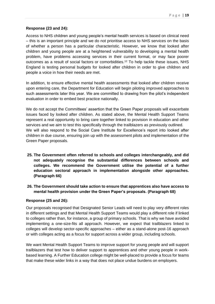#### **Response (23 and 24):**

Access to NHS children and young people's mental health services is based on clinical need – this is an important principle and we do not prioritise access to NHS services on the basis of whether a person has a particular characteristic. However, we know that looked after children and young people are at a heightened vulnerability to developing a mental health problem, have problems accessing services in their current format, or may face poorer outcomes as a result of social factors or comorbidities.<sup>12</sup> To help tackle these issues, NHS England is testing personal budgets for looked after children in order to give children and people a voice in how their needs are met.

In addition, to ensure effective mental health assessments that looked after children receive upon entering care, the Department for Education will begin piloting improved approaches to such assessments later this year. We are committed to drawing from the pilot's independent evaluation in order to embed best practice nationally.

We do not accept the Committees' assertion that the Green Paper proposals will exacerbate issues faced by looked after children. As stated above, the Mental Health Support Teams represent a real opportunity to bring care together linked to provision in education and other services and we aim to test this specifically through the trailblazers as previously outlined. We will also respond to the Social Care Institute for Excellence's report into looked after children in due course, ensuring join up with the assessment pilots and implementation of the Green Paper proposals.

- **25. The Government often referred to schools and colleges interchangeably, and did not adequately recognise the substantial differences between schools and colleges. We recommend the Government utilise the potential of a further education sectoral approach in implementation alongside other approaches. (Paragraph 66)**
- **26. The Government should take action to ensure that apprentices also have access to mental health provision under the Green Paper's proposals. (Paragraph 68)**

#### **Response (25 and 26):**

Our proposals recognised that Designated Senior Leads will need to play very different roles in different settings and that Mental Health Support Teams would play a different role if linked to colleges rather than, for instance, a group of primary schools. That is why we have avoided implementing a one-size-fits all approach. However, we expect that trailblazers linked to colleges will develop sector-specific approaches – either as a stand-alone post-16 approach or with colleges acting as a focus for support across a wider group, including schools.

We want Mental Health Support Teams to improve support for young people and will support trailblazers that test how to deliver support to apprentices and other young people in workbased learning. A Further Education college might be well-placed to provide a focus for teams that make these wider links in a way that does not place undue burdens on employers.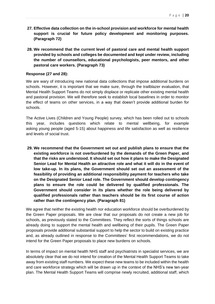- **27. Effective data collection on the in-school provision and workforce for mental health support is crucial for future policy development and monitoring purposes. (Paragraph 72)**
- **28. We recommend that the current level of pastoral care and mental health support provided by schools and colleges be documented and kept under review, including the number of counsellors, educational psychologists, peer mentors, and other pastoral care workers. (Paragraph 73)**

#### **Response (27 and 28):**

We are wary of introducing new national data collections that impose additional burdens on schools. However, it is important that we make sure, through the trailblazer evaluation, that Mental Health Support Teams do not simply displace or replicate other existing mental health and pastoral provision. We will therefore seek to establish local baselines in order to monitor the effect of teams on other services, in a way that doesn't provide additional burden for schools.

The Active Lives (Children and Young People) survey, which has been rolled out to schools this year, includes questions which relate to mental wellbeing, for example asking young people (aged 5-15) about happiness and life satisfaction as well as resilience and levels of social trust.

**29. We recommend that the Government set out and publish plans to ensure that the existing workforce is not overburdened by the demands of the Green Paper, and that the risks are understood. It should set out how it plans to make the Designated Senior Lead for Mental Health an attractive role and what it will do in the event of low take-up. In its plans, the Government should set out an assessment of the feasibility of providing an additional responsibility payment for teachers who take on the Designated Senior Lead role. The Government should develop contingency plans to ensure the role could be delivered by qualified professionals. The Government should consider in its plans whether the role being delivered by qualified professionals rather than teachers should be its first course of action rather than the contingency plan. (Paragraph 81)** 

We agree that neither the existing health nor education workforce should be overburdened by the Green Paper proposals. We are clear that our proposals do not create a new job for schools, as previously stated to the Committees. They reflect the sorts of things schools are already doing to support the mental health and wellbeing of their pupils. The Green Paper proposals provide additional substantial support to help the sector to build on existing practice and, as already outlined in response to the Committees' first recommendations, we do not intend for the Green Paper proposals to place new burdens on schools.

In terms of impact on mental health NHS staff and psychiatrists in specialist services, we are absolutely clear that we do not intend for creation of the Mental Health Support Teams to take away from existing staff numbers. We expect these new teams to be included within the health and care workforce strategy which will be drawn up in the context of the NHS's new ten-year plan. The Mental Health Support Teams will comprise newly recruited, additional staff, which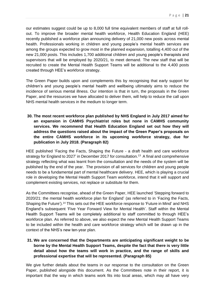our estimates suggest could be up to 8,000 full time equivalent members of staff at full rollout. To improve the broader mental health workforce, Health Education England (HEE) recently published a workforce plan announcing delivery of 21,000 new posts across mental health. Professionals working in children and young people's mental health services are among the groups expected to grow most in the planned expansion, totalling 4,400 out of the new 21,000 posts. This includes 1,700 additional children and young people's therapists and supervisors that will be employed by 2020/21, to meet demand. The new staff that will be recruited to create the Mental Health Support Teams will be additional to the 4,400 posts created through HEE's workforce strategy.

The Green Paper builds upon and complements this by recognising that early support for children's and young people's mental health and wellbeing ultimately aims to reduce the incidence of serious mental illness. Our intention is that in turn, the proposals in the Green Paper, and the resources we have allocated to deliver them, will help to reduce the call upon NHS mental health services in the medium to longer term.

**30. The most recent workforce plan published by NHS England in July 2017 aimed for an expansion in CAMHS Psychiatrist roles but none in CAMHS community services. We recommend that Health Education England set out how they will address the questions raised about the impact of the Green Paper's proposals on the entire CAMHS workforce in its upcoming workforce strategy, due for publication in July 2018. (Paragraph 82)** 

HEE published 'Facing the Facts, Shaping the Future - a draft health and care workforce strategy for England to 2027' in December 2017 for consultation.<sup>13</sup> A final and comprehensive strategy reflecting what was learnt from the consultation and the needs of the system will be published by the end of the year. The provision of all services for children and young people needs to be a fundamental part of mental healthcare delivery. HEE, which is playing a crucial role in developing the Mental Health Support Team workforce, intend that it will support and complement existing services, not replace or substitute for them.

As the Committees recognise, ahead of the Green Paper, HEE launched 'Stepping forward to 2020/21: the mental health workforce plan for England' (as referred to in 'Facing the Facts, Shaping the Future').<sup>14</sup> This sets out the HEE workforce response to 'Future in Mind' and NHS England's subsequent 'Five Year Forward View for Mental Health'. Staff within the Mental Health Support Teams will be completely additional to staff committed to through HEE's workforce plan. As referred to above, we also expect the new Mental Health Support Teams to be included within the health and care workforce strategy which will be drawn up in the context of the NHS's new ten-year plan.

**31. We are concerned that the Departments are anticipating significant weight to be borne by the Mental Health Support Teams, despite the fact that there is very little detail about how the teams will work in practice, and the range of skills and professional expertise that will be represented. (Paragraph 85)** 

We give further details about the teams in our response to the consultation on the Green Paper, published alongside this document. As the Committees note in their report, it is important that the way in which teams work fits into local areas, which may all have very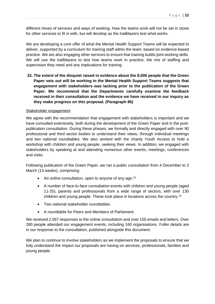different mixes of services and ways of working. How the teams work will not be set in stone for other services to fit in with, but will develop as the trailblazers test what works.

We are developing a core offer of what the Mental Health Support Teams will be expected to deliver, supported by a curriculum for training staff within the team, based on evidence-based practice. We are also engaging other services to ensure that training builds joint working skills. We will use the trailblazers to test how teams work in practice, the mix of staffing and supervision they need and any implications for training.

**32. The extent of the disquiet raised in evidence about the 8,000 people that the Green Paper sets out will be working in the Mental Health Support Teams suggests that engagement with stakeholders was lacking prior to the publication of the Green Paper. We recommend that the Departments carefully examine the feedback received in their consultation and the evidence we have received in our inquiry as they make progress on this proposal. (Paragraph 86)**

#### Stakeholder engagement

We agree with the recommendation that engagement with stakeholders is important and we have consulted extensively, both during the development of the Green Paper and in the postpublication consultation. During these phases, we formally and directly engaged with over 90 professional and third sector bodies to understand their views, through individual meetings and two national roundtables. We also worked with the charity Youth Access to hold a workshop with children and young people, seeking their views. In addition, we engaged with stakeholders by speaking at and attending numerous other events, meetings, conferences and visits.

Following publication of the Green Paper, we ran a public consultation from 4 December to 2 March (13 weeks), comprising:

- An online consultation, open to anyone of any age.<sup>15</sup>
- A number of face-to-face consultation events with children and young people (aged 11-25), parents and professionals from a wide range of sectors, with over 130 children and young people. These took place in locations across the country.<sup>16</sup>
- Two national stakeholder roundtables.
- A roundtable for Peers and Members of Parliament.

We received 2,567 responses to the online consultation and over 150 emails and letters. Over 280 people attended our engagement events, including 160 organisations. Fuller details are in our response to the consultation, published alongside this document.

We plan to continue to involve stakeholders as we implement the proposals to ensure that we fully understand the impact our proposals are having on services, professionals, families and young people.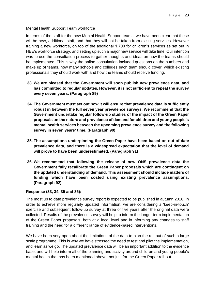#### Mental Health Support Team workforce

In terms of the staff for the new Mental Health Support teams, we have been clear that these will be new, additional staff, and that they will not be taken from existing services. However training a new workforce, on top of the additional 1,700 for children's services as set out in HEE's workforce strategy, and setting up such a major new service will take time. Our intention was to use the consultation process to gather thoughts and ideas on how the teams should be implemented. This is why the online consultation included questions on the numbers and make up of teams, how many schools and colleges each team should cover, which existing professionals they should work with and how the teams should receive funding.

- **33. We are pleased that the Government will soon publish new prevalence data, and has committed to regular updates. However, it is not sufficient to repeat the survey every seven years. (Paragraph 89)**
- **34. The Government must set out how it will ensure that prevalence data is sufficiently robust in between the full seven year prevalence surveys. We recommend that the Government undertake regular follow-up studies of the impact of the Green Paper proposals on the nature and prevalence of demand for children and young people's mental health services between the upcoming prevalence survey and the following survey in seven years' time. (Paragraph 90)**
- **35. The assumptions underpinning the Green Paper have been based on out of date prevalence data, and there is a widespread expectation that the level of demand will prove to have been underestimated. (Paragraph 91)**
- **36. We recommend that following the release of new ONS prevalence data the Government fully recalibrate the Green Paper proposals which are contingent on the updated understanding of demand. This assessment should include matters of funding which have been costed using existing prevalence assumptions. (Paragraph 92)**

#### **Response (33, 34, 35 and 36):**

The most up to date prevalence survey report is expected to be published in autumn 2018. In order to achieve more regularly updated information, we are considering a 'keep-in-touch' exercise and subsequent follow-up survey at three or five years after the original data were collected. Results of the prevalence survey will help to inform the longer term implementation of the Green Paper proposals, both at a local level and in informing any changes to staff training and the need for a different range of evidence-based interventions.

We have been very open about the limitations of the data to plan the roll-out of such a large scale programme. This is why we have stressed the need to test and pilot the implementation, and learn as we go. The updated prevalence data will be an important addition to the evidence base, and will help inform all of the planning and activity around children and young people's mental health that has been mentioned above, not just for the Green Paper roll-out.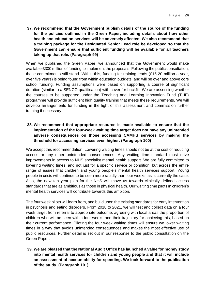**37. We recommend that the Government publish details of the source of the funding for the policies outlined in the Green Paper, including details about how other health and education services will be adversely affected. We also recommend that a training package for the Designated Senior Lead role be developed so that the Government can ensure that sufficient funding will be available for all teachers taking up that role. (Paragraph 99)** 

When we published the Green Paper, we announced that the Government would make available £300 million of funding to implement the proposals. Following the public consultation, these commitments still stand. Within this, funding for training leads (£15-20 million a year, over five years) is being found from within education budgets, and will be over and above core school funding. Funding assumptions were based on supporting a course of significant duration (similar to a SENCO qualification) with cover for backfill. We are assessing whether the courses to be supported under the Teaching and Learning Innovation Fund (TLIF) programme will provide sufficient high quality training that meets these requirements. We will develop arrangements for funding in the light of this assessment and commission further training if necessary.

## **38. We recommend that appropriate resource is made available to ensure that the implementation of the four-week waiting time target does not have any unintended adverse consequences on those accessing CAMHS services by making the threshold for accessing services even higher. (Paragraph 100)**

We accept this recommendation. Lowering waiting times should not be at the cost of reducing access or any other unintended consequences. Any waiting time standard must drive improvements in access to NHS specialist mental health support. We are fully committed to lowering waiting times, and not just for a specific service or condition, but across the entire range of issues that children and young people's mental health services support. Young people in crisis will continue to be seen more rapidly than four weeks, as is currently the case. Also, the new ten year plan for the NHS will move us towards clinically defined access standards that are as ambitious as those in physical health. Our waiting time pilots in children's mental health services will contribute towards this ambition.

The four week pilots will learn from, and build upon the existing standards for early intervention in psychosis and eating disorders. From 2018 to 2021, we will test and collect data on a four week target from referral to appropriate outcome, agreeing with local areas the proportion of children who will be seen within four weeks and their trajectory for achieving this, based on their current performance. Piloting the four week waiting times will ensure we lower waiting times in a way that avoids unintended consequences and makes the most effective use of public resources. Further detail is set out in our response to the public consultation on the Green Paper.

**39. We are pleased that the National Audit Office has launched a value for money study into mental health services for children and young people and that it will include an assessment of accountability for spending. We look forward to the publication of the study. (Paragraph 101)**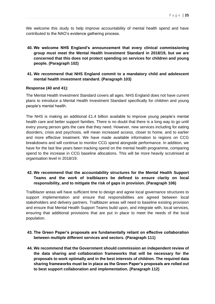We welcome this study to help improve accountability of mental health spend and have contributed to the NAO's evidence gathering process.

- **40. We welcome NHS England's announcement that every clinical commissioning group must meet the Mental Health Investment Standard in 2018/19, but we are concerned that this does not protect spending on services for children and young people. (Paragraph 102)**
- **41. We recommend that NHS England commit to a mandatory child and adolescent mental health investment standard. (Paragraph 103)**

#### **Response (40 and 41):**

The Mental Health Investment Standard covers all ages. NHS England does not have current plans to introduce a Mental Health Investment Standard specifically for children and young people's mental health.

The NHS is making an additional £1.4 billion available to improve young people's mental health care and better support families. There is no doubt that there is a long way to go until every young person gets the care that they need. However, new services including for eating disorders, crisis and psychosis, will mean increased access, closer to home, and to earlier and more effective treatment. We have made available information to regions on CCG breakdowns and will continue to monitor CCG spend alongside performance. In addition, we have for the last few years been tracking spend on the mental health programme, comparing spend to the increase in CCG baseline allocations. This will be more heavily scrutinised at organisation level in 2018/19.

# **42. We recommend that the accountability structures for the Mental Health Support Teams and the work of trailblazers be defined to ensure clarity on local responsibility, and to mitigate the risk of gaps in provision. (Paragraph 106)**

Trailblazer areas will have sufficient time to design and agree local governance structures to support implementation and ensure that responsibilities are agreed between local stakeholders and delivery partners. Trailblazer areas will need to baseline existing provision and ensure that Mental Health Support Teams build upon, and integrate with, local services, ensuring that additional provisions that are put in place to meet the needs of the local population.

### **43. The Green Paper's proposals are fundamentally reliant on effective collaboration between multiple different services and sectors. (Paragraph 111)**

**44. We recommend that the Government should commission an independent review of the data sharing and collaboration frameworks that will be necessary for the proposals to work optimally and in the best interests of children. The required data sharing frameworks must be in place as the Green Paper's proposals are rolled out to best support collaboration and implementation. (Paragraph 112)**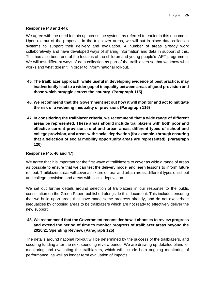#### **Response (43 and 44):**

We agree with the need for join up across the system, as referred to earlier in this document. Upon roll-out of the proposals in the trailblazer areas, we will put in place data collection systems to support their delivery and evaluation. A number of areas already work collaboratively and have developed ways of sharing information and data in support of this. This has also been one of the focuses of the children and young people's IAPT programme. We will test different ways of data collection as part of the trailblazers so that we know what works and what doesn't, in order to inform national roll-out.

- **45. The trailblazer approach, while useful in developing evidence of best practice, may inadvertently lead to a wider gap of inequality between areas of good provision and those which struggle across the country. (Paragraph 115)**
- **46. We recommend that the Government set out how it will monitor and act to mitigate the risk of a widening inequality of provision. (Paragraph 116)**
- **47. In considering the trailblazer criteria, we recommend that a wide range of different areas be represented. These areas should include trailblazers with both poor and effective current provision, rural and urban areas, different types of school and college provision, and areas with social deprivation (for example, through ensuring that a selection of social mobility opportunity areas are represented). (Paragraph 120)**

#### **Response (45, 46 and 47):**

We agree that it is important for the first wave of trailblazers to cover as wide a range of areas as possible to ensure that we can test the delivery model and learn lessons to inform future roll-out. Trailblazer areas will cover a mixture of rural and urban areas, different types of school and college provision, and areas with social deprivation.

We set out further details around selection of trailblazers in our response to the public consultation on the Green Paper, published alongside this document. This includes ensuring that we build upon areas that have made some progress already, and do not exacerbate inequalities by choosing areas to be trailblazers which are not ready to effectively deliver the new support.

## **48. We recommend that the Government reconsider how it chooses to review progress and extend the period of time to monitor progress of trailblazer areas beyond the 2020/21 Spending Review. (Paragraph 125)**

The details around national roll-out will be determined by the success of the trailblazers, and securing funding after the next spending review period. We are drawing up detailed plans for monitoring and evaluating the trailblazers, which will include both ongoing monitoring of performance, as well as longer term evaluation of impacts.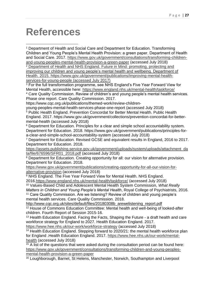# **References**

**.** 

<sup>1</sup> Department of Health and Social Care and Department for Education. Transforming Children and Young People's Mental Health Provision: a green paper. Department of Health and Social Care. 2017. [https://www.gov.uk/government/consultations/transforming-children](https://www.gov.uk/government/consultations/transforming-children-and-young-peoples-mental-health-provision-a-green-paper)[and-young-peoples-mental-health-provision-a-green-paper](https://www.gov.uk/government/consultations/transforming-children-and-young-peoples-mental-health-provision-a-green-paper) (accessed July 2018)

<sup>2</sup> Department of Health and NHS England. Future in Mind: promoting, protecting and improving our children and young people's mental health and wellbeing. Department of Health. 2015. https://www.gov.uk/government/publications/improving-mental-healthservices-for-young-people (accessed July 2017)

<sup>3</sup> For the full transformation programme, see NHS England's Five Year Forward View for Mental Health, accessible here:<https://www.england.nhs.uk/mental-health/taskforce/> 4 Care Quality Commission. Review of children's and young people's mental health services. Phase one report. Care Quality Commission. 2017.

https://www.cqc.org.uk/publications/themed-work/review-children-

young-peoples-mental-health-services-phase-one-report (accessed July 2018) <sup>5</sup> Public Health England. Prevention Concordat for Better Mental Health. Public Health England. 2017. https://www.gov.uk/government/collections/prevention-concordat-for-bettermental-health (accessed July 2018)

<sup>6</sup> Department for Education. Principles for a clear and simple school accountability system. Department for Education. 2018. [https://www.gov.uk/government/publications/principles-for](https://www.gov.uk/government/publications/principles-for-a-clear-and-simple-school-accountability-system)[a-clear-and-simple-school-accountability-system](https://www.gov.uk/government/publications/principles-for-a-clear-and-simple-school-accountability-system) (accessed July 2018)

<sup>7</sup> Department for Education. Revised GCSE and equivalent results in England, 2016 to 2017. Department for Education. 2018.

[https://assets.publishing.service.gov.uk/government/uploads/system/uploads/attachment\\_da](https://assets.publishing.service.gov.uk/government/uploads/system/uploads/attachment_data/file/676596/SFR01_2018.pdf) [ta/file/676596/SFR01\\_2018.pdf](https://assets.publishing.service.gov.uk/government/uploads/system/uploads/attachment_data/file/676596/SFR01_2018.pdf) (accessed July 2018)

<sup>8</sup> Department for Education. Creating opportunity for all: our vision for alternative provision. Department for Education. 2018.

[https://www.gov.uk/government/publications/creating-opportunity-for-all-our-vision-for](https://www.gov.uk/government/publications/creating-opportunity-for-all-our-vision-for-alternative-provision)[alternative-provision](https://www.gov.uk/government/publications/creating-opportunity-for-all-our-vision-for-alternative-provision) (accessed July 2018)

<sup>9</sup> NHS England. The Five Year Forward View for Mental Health. NHS England. 2016[.https://www.england.nhs.uk/mental-health/taskforce/](https://www.england.nhs.uk/mental-health/taskforce/) (accessed July 2018)

<sup>10</sup> Values-Based Child and Adolescent Mental Health System Commission, *What Really Matters in Children and Young People's Mental Health*, Royal College of Psychiatrists, 2016. <sup>11</sup> Care Quality Commission. Are we listening? Review of children and young people's

mental health services. Care Quality Commission. 2018.

[http://www.cqc.org.uk/sites/default/files/20180308b\\_arewelistening\\_report.pdf](http://www.cqc.org.uk/sites/default/files/20180308b_arewelistening_report.pdf) <sup>12</sup> House of Commons Education Committee: Mental health and well-being of looked-after

children. Fourth Report of Session 2015-16. <sup>13</sup> Health Education England. Facing the Facts, Shaping the Future - a draft health and care workforce strategy for England to 2027. Health Education England. 2017.

<https://www.hee.nhs.uk/our-work/workforce-strategy>(accessed July 2018)

<sup>14</sup> Health Education England. Stepping forward to 2020/21: the mental health workforce plan for England .Health Education England. 2017. [https://www.hee.nhs.uk/our-work/mental](https://www.hee.nhs.uk/our-work/mental-health)[health](https://www.hee.nhs.uk/our-work/mental-health) (accessed July 2018)

 $\frac{15}{15}$  A list of the questions that were asked during the consultation period can be found here: [https://www.gov.uk/government/consultations/transforming-children-and-young-peoples](https://www.gov.uk/government/consultations/transforming-children-and-young-peoples-mental-health-provision-a-green-paper)[mental-health-provision-a-green-paper](https://www.gov.uk/government/consultations/transforming-children-and-young-peoples-mental-health-provision-a-green-paper)

<sup>16</sup> Loughborough, Barnet, St Helens, Manchester, Norwich, Southampton and Liverpool